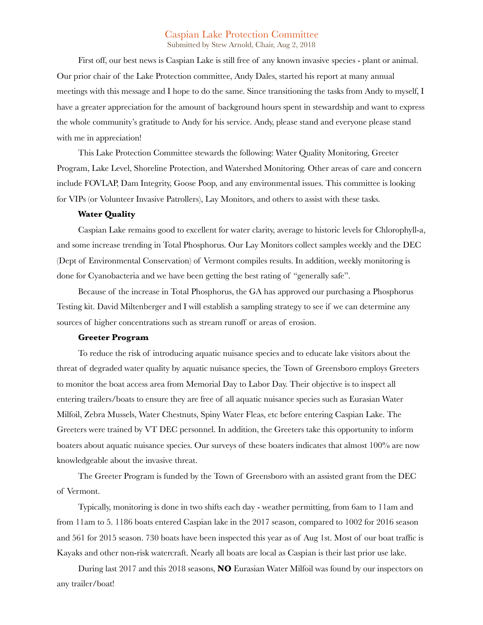# Caspian Lake Protection Committee

Submitted by Stew Arnold, Chair, Aug 2, 2018

First off, our best news is Caspian Lake is still free of any known invasive species - plant or animal. Our prior chair of the Lake Protection committee, Andy Dales, started his report at many annual meetings with this message and I hope to do the same. Since transitioning the tasks from Andy to myself, I have a greater appreciation for the amount of background hours spent in stewardship and want to express the whole community's gratitude to Andy for his service. Andy, please stand and everyone please stand with me in appreciation!

This Lake Protection Committee stewards the following: Water Quality Monitoring, Greeter Program, Lake Level, Shoreline Protection, and Watershed Monitoring. Other areas of care and concern include FOVLAP, Dam Integrity, Goose Poop, and any environmental issues. This committee is looking for VIPs (or Volunteer Invasive Patrollers), Lay Monitors, and others to assist with these tasks.

#### **Water Quality**

Caspian Lake remains good to excellent for water clarity, average to historic levels for Chlorophyll-a, and some increase trending in Total Phosphorus. Our Lay Monitors collect samples weekly and the DEC (Dept of Environmental Conservation) of Vermont compiles results. In addition, weekly monitoring is done for Cyanobacteria and we have been getting the best rating of "generally safe".

Because of the increase in Total Phosphorus, the GA has approved our purchasing a Phosphorus Testing kit. David Miltenberger and I will establish a sampling strategy to see if we can determine any sources of higher concentrations such as stream runoff or areas of erosion.

# **Greeter Program**

To reduce the risk of introducing aquatic nuisance species and to educate lake visitors about the threat of degraded water quality by aquatic nuisance species, the Town of Greensboro employs Greeters to monitor the boat access area from Memorial Day to Labor Day. Their objective is to inspect all entering trailers/boats to ensure they are free of all aquatic nuisance species such as Eurasian Water Milfoil, Zebra Mussels, Water Chestnuts, Spiny Water Fleas, etc before entering Caspian Lake. The Greeters were trained by VT DEC personnel. In addition, the Greeters take this opportunity to inform boaters about aquatic nuisance species. Our surveys of these boaters indicates that almost 100% are now knowledgeable about the invasive threat.

The Greeter Program is funded by the Town of Greensboro with an assisted grant from the DEC of Vermont.

Typically, monitoring is done in two shifts each day - weather permitting, from 6am to 11am and from 11am to 5. 1186 boats entered Caspian lake in the 2017 season, compared to 1002 for 2016 season and 561 for 2015 season. 730 boats have been inspected this year as of Aug 1st. Most of our boat traffic is Kayaks and other non-risk watercraft. Nearly all boats are local as Caspian is their last prior use lake.

During last 2017 and this 2018 seasons, **NO** Eurasian Water Milfoil was found by our inspectors on any trailer/boat!